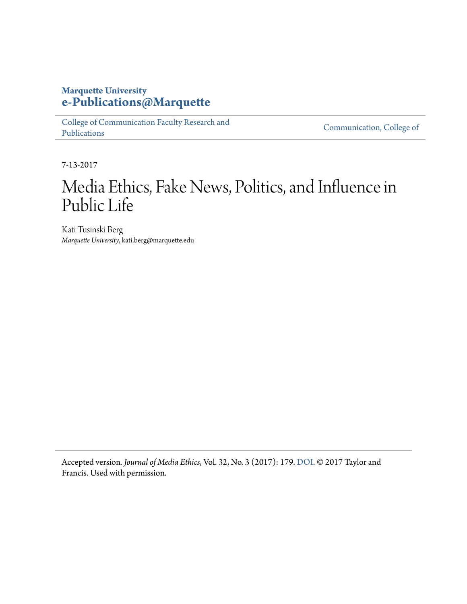#### **Marquette University [e-Publications@Marquette](https://epublications.marquette.edu)**

[College of Communication Faculty Research and](https://epublications.marquette.edu/comm_fac) [Publications](https://epublications.marquette.edu/comm_fac)

[Communication, College of](https://epublications.marquette.edu/communication)

7-13-2017

# Media Ethics, Fake News, Politics, and Influence in Public Life

Kati Tusinski Berg *Marquette University*, kati.berg@marquette.edu

Accepted version*. Journal of Media Ethics*, Vol. 32, No. 3 (2017): 179. [DOI.](https://doi.org/10.1080/23736992.2017.1331015) © 2017 Taylor and Francis. Used with permission.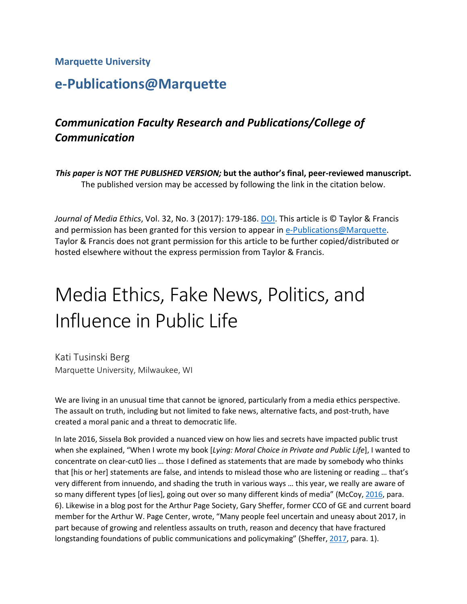#### **Marquette University**

## **e-Publications@Marquette**

### *Communication Faculty Research and Publications/College of Communication*

*This paper is NOT THE PUBLISHED VERSION;* **but the author's final, peer-reviewed manuscript.**  The published version may be accessed by following the link in the citation below.

*Journal of Media Ethics*, Vol. 32, No. 3 (2017): 179-186. [DOI.](https://doi.org/10.1080/23736992.2017.1331015) This article is © Taylor & Francis and permission has been granted for this version to appear in [e-Publications@Marquette.](http://epublications.marquette.edu/) Taylor & Francis does not grant permission for this article to be further copied/distributed or hosted elsewhere without the express permission from Taylor & Francis.

# Media Ethics, Fake News, Politics, and Influence in Public Life

Kati Tusinski Berg Marquette University, Milwaukee, WI

We are living in an unusual time that cannot be ignored, particularly from a media ethics perspective. The assault on truth, including but not limited to fake news, alternative facts, and post-truth, have created a moral panic and a threat to democratic life.

In late 2016, Sissela Bok provided a nuanced view on how lies and secrets have impacted public trust when she explained, "When I wrote my book [*Lying: Moral Choice in Private and Public Life*], I wanted to concentrate on clear-cut0 lies … those I defined as statements that are made by somebody who thinks that [his or her] statements are false, and intends to mislead those who are listening or reading … that's very different from innuendo, and shading the truth in various ways … this year, we really are aware of so many different types [of lies], going out over so many different kinds of media" (McCoy[, 2016,](https://www.tandfonline.com/doi/full/10.1080/23736992.2017.1331015?scroll=top&needAccess=true) para. 6). Likewise in a blog post for the Arthur Page Society, Gary Sheffer, former CCO of GE and current board member for the Arthur W. Page Center, wrote, "Many people feel uncertain and uneasy about 2017, in part because of growing and relentless assaults on truth, reason and decency that have fractured longstanding foundations of public communications and policymaking" (Sheffer, [2017,](https://www.tandfonline.com/doi/full/10.1080/23736992.2017.1331015?scroll=top&needAccess=true) para. 1).